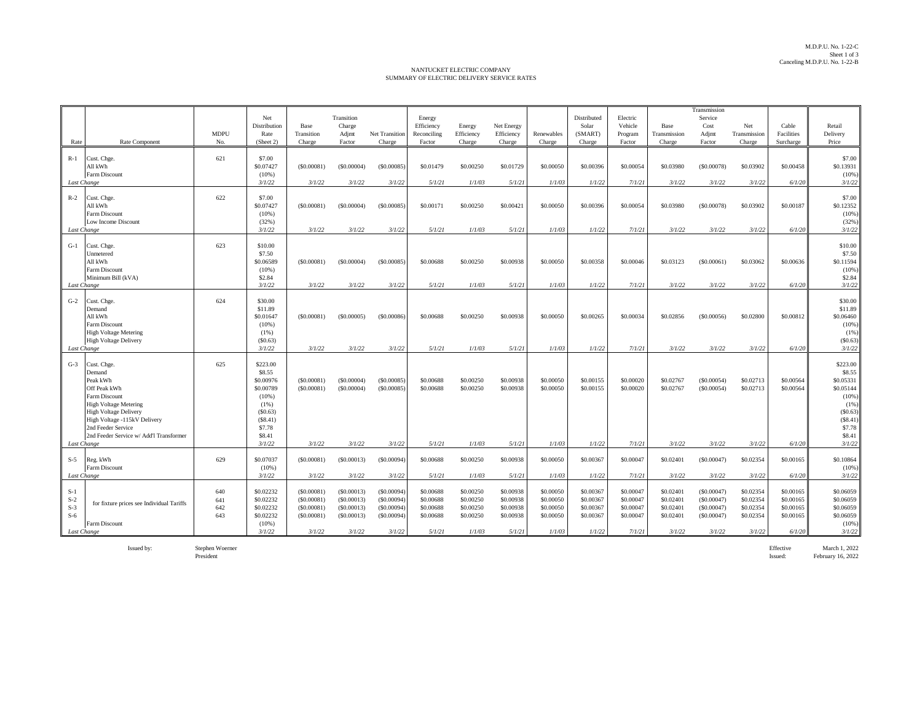## NANTUCKET ELECTRIC COMPANY SUMMARY OF ELECTRIC DELIVERY SERVICE RATES

| Rate                                            | Rate Component                                                                                                                                                                                                                      | <b>MDPU</b><br>No.       | Net<br>Distribution<br>Rate<br>(Sheet 2)                                                                           | Base<br>Transition<br>Charge                                   | Transition<br>Charge<br>Adjmt<br>Factor                        | <b>Net Transition</b><br>Charge                                | Energy<br>Efficiency<br>Reconciling<br>Factor              | Energy<br>Efficiency<br>Charge                             | Net Energy<br>Efficiency<br>Charge                         | Renewables<br>Charge                                       | Distributed<br>Solar<br>(SMART)<br>Charge                  | Electric<br>Vehicle<br>Program<br>Factor                   | Base<br>Transmission<br>Charge                             | Transmission<br>Service<br>Cost<br>Adjmt<br>Factor             | Net<br>Transmission<br>Charge                              | Cable<br>Facilities<br>Surcharge                           | Retail<br>Delivery<br>Price                                                                                      |
|-------------------------------------------------|-------------------------------------------------------------------------------------------------------------------------------------------------------------------------------------------------------------------------------------|--------------------------|--------------------------------------------------------------------------------------------------------------------|----------------------------------------------------------------|----------------------------------------------------------------|----------------------------------------------------------------|------------------------------------------------------------|------------------------------------------------------------|------------------------------------------------------------|------------------------------------------------------------|------------------------------------------------------------|------------------------------------------------------------|------------------------------------------------------------|----------------------------------------------------------------|------------------------------------------------------------|------------------------------------------------------------|------------------------------------------------------------------------------------------------------------------|
| $R-1$<br>Last Change                            | Cust. Chge.<br>All kWh<br>Farm Discount                                                                                                                                                                                             | 621                      | \$7.00<br>\$0.07427<br>(10%<br>3/1/22                                                                              | (S0,00081)<br>3/1/22                                           | (S0,00004)<br>3/1/22                                           | (S0,00085)<br>3/1/22                                           | \$0.01479<br>5/1/21                                        | \$0.00250<br>1/1/03                                        | \$0.01729<br>5/1/21                                        | \$0,00050<br>1/1/03                                        | \$0,00396<br>1/1/22                                        | \$0.00054<br>7/1/21                                        | \$0.03980<br>3/1/22                                        | (S0.00078)<br>3/1/22                                           | \$0.03902<br>3/1/22                                        | \$0,00458<br>6/1/20                                        | \$7.00<br>\$0.13931<br>(10%<br>3/1/22                                                                            |
| $R-2$<br>Last Change                            | Cust. Chge.<br>All kWh<br><b>Farm Discount</b><br>Low Income Discount                                                                                                                                                               | 622                      | \$7.00<br>\$0.07427<br>(10%<br>(32%)<br>3/1/22                                                                     | (S0,00081)<br>3/1/22                                           | (S0,00004)<br>3/1/22                                           | (S0.00085)<br>3/1/22                                           | \$0.00171<br>5/1/21                                        | \$0,00250<br>1/1/03                                        | \$0.00421<br>5/1/21                                        | \$0,00050<br>1/1/03                                        | \$0,00396<br>1/1/22                                        | \$0,00054<br>7/1/21                                        | \$0.03980<br>3/1/22                                        | (S0.00078)<br>3/1/22                                           | \$0.03902<br>3/1/22                                        | \$0,00187<br>6/1/20                                        | \$7.00<br>\$0.12352<br>(10%<br>(32%<br>3/1/22                                                                    |
| $G-1$<br>Last Change                            | Cust. Chge.<br>Unmetered<br>All kWh<br>Farm Discount<br>Minimum Bill (kVA)                                                                                                                                                          | 623                      | \$10.00<br>\$7.50<br>\$0.06589<br>$(10\%)$<br>\$2.84<br>3/1/22                                                     | (S0.00081)<br>3/1/22                                           | (S0,00004)<br>3/1/22                                           | (S0.00085)<br>3/1/22                                           | \$0,00688<br>5/1/21                                        | \$0.00250<br>1/1/03                                        | \$0.00938<br>5/1/21                                        | \$0,00050<br>1/1/03                                        | \$0,00358<br>1/1/22                                        | \$0,00046<br>7/1/21                                        | \$0.03123<br>3/1/22                                        | (S0,00061)<br>3/1/22                                           | \$0.03062<br>3/1/22                                        | \$0,00636<br>6/1/20                                        | \$10.00<br>\$7.50<br>\$0.11594<br>(10%<br>\$2.84<br>3/1/22                                                       |
| $G-2$<br>Last Change                            | Cust. Chge.<br>Demand<br>All kWh<br>Farm Discount<br><b>High Voltage Metering</b><br><b>High Voltage Delivery</b>                                                                                                                   | 624                      | \$30.00<br>\$11.89<br>\$0.01647<br>(10%<br>$(1\%)$<br>(S0.63)<br>3/1/22                                            | (S0.00081)<br>3/1/22                                           | (S0.00005)<br>3/1/22                                           | (S0.00086)<br>3/1/22                                           | \$0,00688<br>5/1/21                                        | \$0,00250<br>1/1/03                                        | \$0.00938<br>5/1/21                                        | \$0,00050<br>1/1/03                                        | \$0,00265<br>1/1/22                                        | \$0,00034<br>7/1/21                                        | \$0.02856<br>3/1/22                                        | (S0.00056)<br>3/1/22                                           | \$0.02800<br>3/1/22                                        | \$0.00812<br>6/1/20                                        | \$30.00<br>\$11.89<br>\$0.06460<br>(10%<br>(1%<br>(S0.63)<br>3/1/22                                              |
| $G-3$<br>Last Change                            | Cust. Chge.<br>Demand<br>Peak kWh<br>Off Peak kWh<br>Farm Discount<br><b>High Voltage Metering</b><br><b>High Voltage Delivery</b><br>High Voltage -115kV Delivery<br>2nd Feeder Service<br>2nd Feeder Service w/ Add'l Transformer | 625                      | \$223.00<br>\$8.55<br>\$0.00976<br>\$0.00789<br>(10%<br>(1%)<br>(\$0.63)<br>(\$8.41)<br>\$7.78<br>\$8.41<br>3/1/22 | (S0.00081)<br>(S0,00081)<br>3/1/22                             | (S0.00004)<br>(S0.00004)<br>3/1/22                             | (\$0.00085<br>(S0.00085)<br>3/1/22                             | \$0,00688<br>\$0,00688<br>5/1/21                           | \$0.00250<br>\$0.00250<br>1/1/03                           | \$0.00938<br>\$0.00938<br>5/1/21                           | \$0.00050<br>\$0,00050<br>1/1/03                           | \$0.00155<br>\$0,00155<br>1/1/22                           | \$0,00020<br>\$0,00020<br>7/1/21                           | \$0.02767<br>\$0.02767<br>3/1/22                           | (\$0.00054)<br>(S0.00054)<br>3/1/22                            | \$0.02713<br>\$0.02713<br>3/1/22                           | \$0,00564<br>\$0,00564<br>6/1/20                           | \$223.00<br>\$8.55<br>\$0.05331<br>\$0.05144<br>(10%)<br>(1%<br>(S0.63)<br>(S8.41)<br>\$7.78<br>\$8.41<br>3/1/22 |
| $S-5$<br>Last Change                            | Reg. kWh<br>Farm Discount                                                                                                                                                                                                           | 629                      | \$0.07037<br>(10%<br>3/1/22                                                                                        | (S0.00081)<br>3/1/22                                           | (\$0.00013)<br>3/1/22                                          | (S0.00094)<br>3/1/22                                           | \$0.00688<br>5/1/21                                        | \$0.00250<br>1/1/03                                        | \$0.00938<br>5/1/21                                        | \$0.00050<br>1/1/03                                        | \$0.00367<br>1/1/22                                        | \$0.00047<br>7/1/21                                        | \$0.02401<br>3/1/22                                        | (S0.00047)<br>3/1/22                                           | \$0.02354<br>3/1/22                                        | \$0.00165<br>6/1/20                                        | \$0.10864<br>(10%<br>3/1/22                                                                                      |
| $S-1$<br>$S-2$<br>$S-3$<br>$S-6$<br>Last Change | for fixture prices see Individual Tariffs<br>Farm Discount                                                                                                                                                                          | 640<br>641<br>642<br>643 | \$0.02232<br>\$0.02232<br>\$0.02232<br>\$0.02232<br>(10%<br>3/1/22                                                 | (S0.00081)<br>(S0.00081)<br>(S0.00081)<br>(S0.00081)<br>3/1/22 | (S0.00013)<br>(S0.00013)<br>(S0.00013)<br>(S0.00013)<br>3/1/22 | (S0.00094)<br>(S0.00094)<br>(S0,00094)<br>(S0.00094)<br>3/1/22 | \$0,00688<br>\$0,00688<br>\$0,00688<br>\$0.00688<br>5/1/21 | \$0.00250<br>\$0.00250<br>\$0,00250<br>\$0.00250<br>1/1/03 | \$0.00938<br>\$0.00938<br>\$0.00938<br>\$0.00938<br>5/1/21 | \$0,00050<br>\$0,00050<br>\$0,00050<br>\$0.00050<br>1/1/03 | \$0,00367<br>\$0,00367<br>\$0,00367<br>\$0.00367<br>1/1/22 | \$0,00047<br>\$0.00047<br>\$0,00047<br>\$0.00047<br>7/1/21 | \$0.02401<br>\$0.02401<br>\$0.02401<br>\$0.02401<br>3/1/22 | (S0.00047)<br>(S0.00047)<br>(S0.00047)<br>(S0.00047)<br>3/1/22 | \$0.02354<br>\$0.02354<br>\$0.02354<br>\$0.02354<br>3/1/22 | \$0,00165<br>\$0.00165<br>\$0,00165<br>\$0.00165<br>6/1/20 | \$0.06059<br>\$0.06059<br>\$0.06059<br>\$0.06059<br>(10%<br>3/1/22                                               |

Issued by: Stephen Woerner Effective March 1, 2022

President Issued: February 16, 2022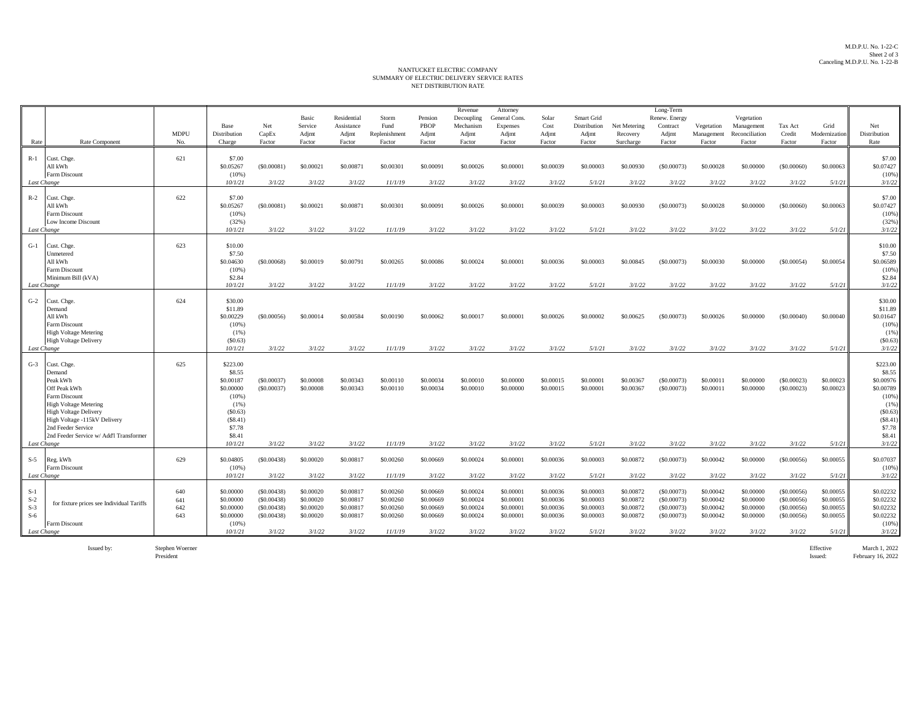## NANTUCKET ELECTRIC COMPANY<br>SUMMARY OF ELECTRIC DELIVERY SERVICE RATES NET DISTRIBUTION RATE

|             |                                                              |             |                     |            |                  |                           |               |                        | Revenue                 | Attorney                  |               |                            |              | Long-Term                 |            |                          |             |               |                     |
|-------------|--------------------------------------------------------------|-------------|---------------------|------------|------------------|---------------------------|---------------|------------------------|-------------------------|---------------------------|---------------|----------------------------|--------------|---------------------------|------------|--------------------------|-------------|---------------|---------------------|
|             |                                                              |             | Base                | Net        | Basic<br>Service | Residential<br>Assistance | Storm<br>Fund | Pension<br><b>PBOP</b> | Decoupling<br>Mechanism | General Cons.<br>Expenses | Solar<br>Cost | Smart Grid<br>Distribution | Net Metering | Renew. Energy<br>Contract | Vegetation | Vegetation<br>Management | Tax Act     | Grid          | Net                 |
|             |                                                              | <b>MDPU</b> | Distribution        | CapEx      | Adjmt            | Adjmt                     | Replenishment | Adjmt                  | Adjmt                   | Adjmt                     | Adjmt         | Adjmt                      | Recovery     | Adjmt                     | Management | Reconciliation           | Credit      | Modernization | Distribution        |
| Rate        | Rate Component                                               | No.         | Charge              | Factor     | Factor           | Factor                    | Factor        | Factor                 | Factor                  | Factor                    | Factor        | Factor                     | Surcharge    | Factor                    | Factor     | Factor                   | Factor      | Factor        | Rate                |
|             |                                                              |             |                     |            |                  |                           |               |                        |                         |                           |               |                            |              |                           |            |                          |             |               |                     |
| R-1         | Cust. Chge.                                                  | 621         | \$7.00              |            |                  |                           |               |                        | \$0,00026               |                           |               |                            |              |                           |            |                          |             |               | \$7.00              |
|             | All kWh<br><b>Farm Discount</b>                              |             | \$0.05267<br>(10%   | (S0.00081) | \$0.00021        | \$0,0087                  | \$0,00301     | \$0,00091              |                         | \$0,00001                 | \$0,00039     | \$0,00003                  | \$0.00930    | (S0.00073)                | \$0,00028  | \$0,00000                | (S0,00060)  | \$0,00063     | \$0.07427<br>(10%   |
| Last Change |                                                              |             | 10/1/21             | 3/1/22     | 3/1/22           | 3/1/22                    | 11/1/19       | 3/1/22                 | 3/1/22                  | 3/1/22                    | 3/1/22        | 5/1/21                     | 3/1/22       | 3/1/22                    | 3/1/22     | 3/1/22                   | 3/1/22      | 5/1/21        | 3/1/22              |
|             |                                                              |             |                     |            |                  |                           |               |                        |                         |                           |               |                            |              |                           |            |                          |             |               |                     |
| $R-2$       | Cust. Chge.<br>All kWh                                       | 622         | \$7.00<br>\$0.05267 | (S0.00081) | \$0.00021        | \$0.00871                 | \$0.00301     | \$0.00091              | \$0.00026               | \$0.00001                 | \$0,00039     | \$0.00003                  | \$0.00930    | (S0.00073)                | \$0.00028  | \$0.00000                | (S0.00060)  | \$0,00063     | \$7.00<br>\$0.07427 |
|             | <b>Farm Discount</b>                                         |             | (10%)               |            |                  |                           |               |                        |                         |                           |               |                            |              |                           |            |                          |             |               | (10%                |
|             | Low Income Discount                                          |             | (32%)               |            |                  |                           |               |                        |                         |                           |               |                            |              |                           |            |                          |             |               | (32%                |
| Last Change |                                                              |             | 10/1/21             | 3/1/22     | 3/1/22           | 3/1/22                    | 11/1/19       | 3/1/22                 | 3/1/22                  | 3/1/22                    | 3/1/22        | 5/1/21                     | 3/1/22       | 3/1/22                    | 3/1/22     | 3/1/22                   | 3/1/22      | 5/1/21        | 3/1/22              |
| $G-1$       | Cust. Chge.                                                  | 623         | \$10.00             |            |                  |                           |               |                        |                         |                           |               |                            |              |                           |            |                          |             |               | \$10.00             |
|             | <b>Jnmetered</b>                                             |             | \$7.50              |            |                  |                           |               |                        |                         |                           |               |                            |              |                           |            |                          |             |               | \$7.50              |
|             | All kWh                                                      |             | \$0,04630           | (S0.00068) | \$0,00019        | \$0,00791                 | \$0,00265     | \$0,00086              | \$0,00024               | \$0,00001                 | \$0,00036     | \$0,00003                  | \$0,00845    | (S0,00073)                | \$0,00030  | \$0,00000                | (S0,00054)  | \$0,00054     | \$0.06589           |
|             | Farm Discount                                                |             | (10%                |            |                  |                           |               |                        |                         |                           |               |                            |              |                           |            |                          |             |               | (10%                |
| Last Change | Minimum Bill (kVA)                                           |             | \$2.84<br>10/1/21   | 3/1/22     | 3/1/22           | 3/1/22                    | 11/1/19       | 3/1/22                 | 3/1/22                  | 3/1/22                    | 3/1/22        | 5/1/21                     | 3/1/22       | 3/1/22                    | 3/1/22     | 3/1/22                   | 3/1/22      | 5/1/21        | \$2.84<br>3/1/22    |
|             |                                                              |             |                     |            |                  |                           |               |                        |                         |                           |               |                            |              |                           |            |                          |             |               |                     |
| $G-2$       | Cust. Chge.                                                  | 624         | \$30.00             |            |                  |                           |               |                        |                         |                           |               |                            |              |                           |            |                          |             |               | \$30.00             |
|             | Demand                                                       |             | \$11.89             |            |                  |                           |               |                        |                         |                           |               |                            |              |                           |            |                          |             |               | \$11.89             |
|             | All kWh                                                      |             | \$0.00229           | (S0.00056) | \$0,00014        | \$0,00584                 | \$0,00190     | \$0,00062              | \$0,00017               | \$0,00001                 | \$0,00026     | \$0,00002                  | \$0.00625    | (S0,00073)                | \$0,00026  | \$0,00000                | (S0,00040)  | \$0,00040     | \$0.01647           |
|             | Farm Discount<br><b>High Voltage Metering</b>                |             | $(10\%)$<br>(1%)    |            |                  |                           |               |                        |                         |                           |               |                            |              |                           |            |                          |             |               | (10%<br>$(1\%)$     |
|             | <b>High Voltage Delivery</b>                                 |             | (S0.63)             |            |                  |                           |               |                        |                         |                           |               |                            |              |                           |            |                          |             |               | (S0.63)             |
| Last Change |                                                              |             | 10/1/21             | 3/1/22     | 3/1/22           | 3/1/22                    | 11/1/19       | 3/1/22                 | 3/1/22                  | 3/1/22                    | 3/1/22        | 5/1/21                     | 3/1/22       | 3/1/22                    | 3/1/22     | 3/1/22                   | 3/1/22      | 5/1/21        | 3/1/22              |
| $G-3$       | Cust. Chge.                                                  | 625         | \$223.00            |            |                  |                           |               |                        |                         |                           |               |                            |              |                           |            |                          |             |               | \$223.00            |
|             | Demand                                                       |             | \$8.55              |            |                  |                           |               |                        |                         |                           |               |                            |              |                           |            |                          |             |               | \$8.55              |
|             | Peak kWh                                                     |             | \$0.00187           | (S0.00037) | \$0,00008        | \$0.00343                 | \$0,00110     | \$0,00034              | \$0,00010               | \$0,00000                 | \$0,00015     | \$0,00001                  | \$0.00367    | (S0.00073)                | \$0,00011  | \$0,00000                | (S0.00023)  | \$0,00023     | \$0.00976           |
|             | Off Peak kWh                                                 |             | \$0,00000           | (S0.00037) | \$0,00008        | \$0.00343                 | \$0,00110     | \$0,00034              | \$0,00010               | \$0,00000                 | \$0,00015     | \$0,00001                  | \$0,00367    | (S0,00073)                | \$0,00011  | \$0,00000                | (S0,00023)  | \$0,00023     | \$0.00789           |
|             | Farm Discount                                                |             | (10%                |            |                  |                           |               |                        |                         |                           |               |                            |              |                           |            |                          |             |               | (10%                |
|             | <b>High Voltage Metering</b><br><b>High Voltage Delivery</b> |             | (1%)<br>(S0.63)     |            |                  |                           |               |                        |                         |                           |               |                            |              |                           |            |                          |             |               | (1%<br>(\$0.63)     |
|             | High Voltage -115kV Delivery                                 |             | (\$8.41)            |            |                  |                           |               |                        |                         |                           |               |                            |              |                           |            |                          |             |               | (\$8.41)            |
|             | 2nd Feeder Service                                           |             | \$7.78              |            |                  |                           |               |                        |                         |                           |               |                            |              |                           |            |                          |             |               | \$7.78              |
|             | 2nd Feeder Service w/ Add'l Transformer                      |             | \$8.41              |            |                  |                           |               |                        |                         |                           |               |                            |              |                           |            |                          |             |               | \$8.41              |
| Last Change |                                                              |             | 10/1/21             | 3/1/22     | 3/1/22           | 3/1/22                    | 11/1/19       | 3/1/22                 | 3/1/22                  | 3/1/22                    | 3/1/22        | 5/1/21                     | 3/1/22       | 3/1/22                    | 3/1/22     | 3/1/22                   | 3/1/22      | 5/1/21        | 3/1/22              |
| $S-5$       | Reg. kWh                                                     | 629         | \$0.04805           | (S0.00438) | \$0.00020        | \$0.00817                 | \$0.00260     | \$0.00669              | \$0.00024               | \$0.00001                 | \$0.00036     | \$0.00003                  | \$0.00872    | (\$0.00073)               | \$0.00042  | \$0.00000                | (\$0.00056) | \$0.00055     | \$0.07037           |
|             | Farm Discount                                                |             | $(10\%)$            |            |                  |                           |               |                        |                         |                           |               |                            |              |                           |            |                          |             |               | (10%                |
| Last Change |                                                              |             | 10/1/21             | 3/1/22     | 3/1/22           | 3/1/22                    | 11/1/19       | 3/1/22                 | 3/1/22                  | 3/1/22                    | 3/1/22        | 5/1/21                     | 3/1/22       | 3/1/22                    | 3/1/22     | 3/1/22                   | 3/1/22      | 5/1/21        | 3/1/22              |
| $S-1$       |                                                              | 640         | \$0.00000           | (S0.00438) | \$0.00020        | \$0.00817                 | \$0.00260     | \$0,00669              | \$0.00024               | \$0.00001                 | \$0,00036     | \$0.00003                  | \$0.00872    | (S0.00073)                | \$0.00042  | \$0.00000                | (\$0.00056) | \$0.00055     | \$0.02232           |
| $S-2$       |                                                              | 641         | \$0.00000           | (S0.00438) | \$0.00020        | \$0.00817                 | \$0.00260     | \$0.00669              | \$0.00024               | \$0.00001                 | \$0.00036     | \$0.00003                  | \$0.00872    | (S0.00073)                | \$0.00042  | \$0.00000                | (S0.00056)  | \$0,00055     | \$0.02232           |
| $S-3$       |                                                              | 642         | \$0.00000           | (S0.00438) | \$0.00020        | \$0.00817                 | \$0.00260     | \$0.00669              | \$0.00024               | \$0.00001                 | \$0.00036     | \$0.00003                  | \$0.00872    | (S0.00073)                | \$0.00042  | \$0.00000                | (S0.00056)  | \$0.00055     | \$0.02232           |
|             |                                                              |             |                     |            |                  |                           |               |                        |                         |                           |               |                            |              |                           |            |                          |             |               | \$0.02232<br>(10%   |
|             |                                                              |             | 10/1/21             | 3/1/22     | 3/1/22           |                           | 11/1/19       | 3/1/22                 | 3/1/22                  | 3/1/22                    | 3/1/22        | 5/1/21                     | 3/1/22       | 3/1/22                    | 3/1/22     | 3/1/22                   |             |               | 3/1/22              |
| $S-6$       | for fixture prices see Individual Tariffs<br>Farm Discount   | 643         | \$0.00000<br>(10%   | (S0.00438) | \$0.00020        | \$0.00817                 | \$0.00260     | \$0.00669              | \$0.00024               | \$0.00001                 | \$0.00036     | \$0.00003                  | \$0.00872    | (S0.00073)                | \$0.00042  | \$0.00000                | (S0.00056)  | \$0.00055     |                     |
| Last Change |                                                              |             |                     |            |                  | 3/1/22                    |               |                        |                         |                           |               |                            |              |                           |            |                          | 3/1/22      | 5/1/21        |                     |

Issued by: Stephen Woerner President

Effective March 1, 2022<br>Issued: February 16, 2022 February 16, 2022